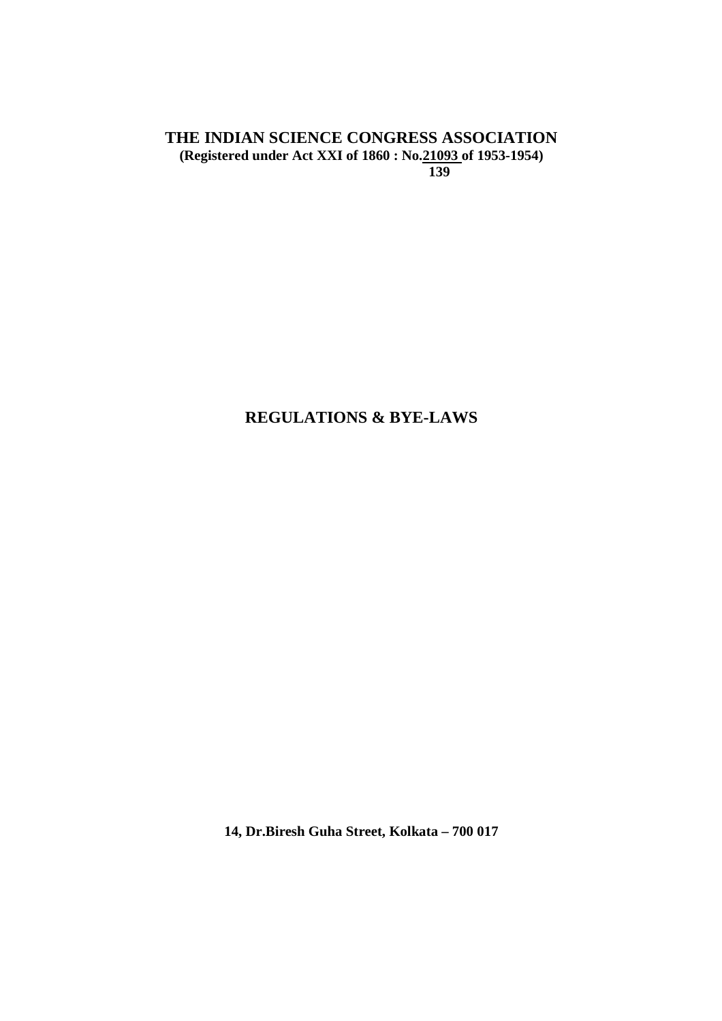## **THE INDIAN SCIENCE CONGRESS ASSOCIATION (Registered under Act XXI of 1860 : No.21093 of 1953-1954) 139**

# **REGULATIONS & BYE-LAWS**

**14, Dr.Biresh Guha Street, Kolkata – 700 017**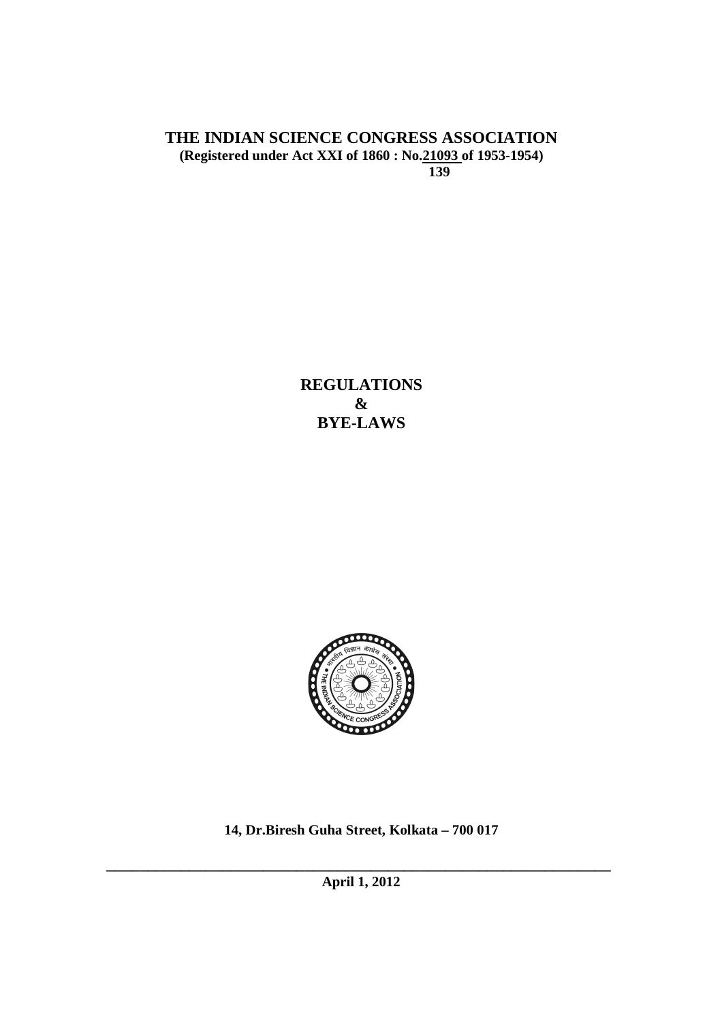## **THE INDIAN SCIENCE CONGRESS ASSOCIATION (Registered under Act XXI of 1860 : No.21093 of 1953-1954) 139**

**REGULATIONS & BYE-LAWS** 



**14, Dr.Biresh Guha Street, Kolkata – 700 017** 

**\_\_\_\_\_\_\_\_\_\_\_\_\_\_\_\_\_\_\_\_\_\_\_\_\_\_\_\_\_\_\_\_\_\_\_\_\_\_\_\_\_\_\_\_\_\_\_\_\_\_\_\_\_\_\_\_\_\_\_\_\_ April 1, 2012**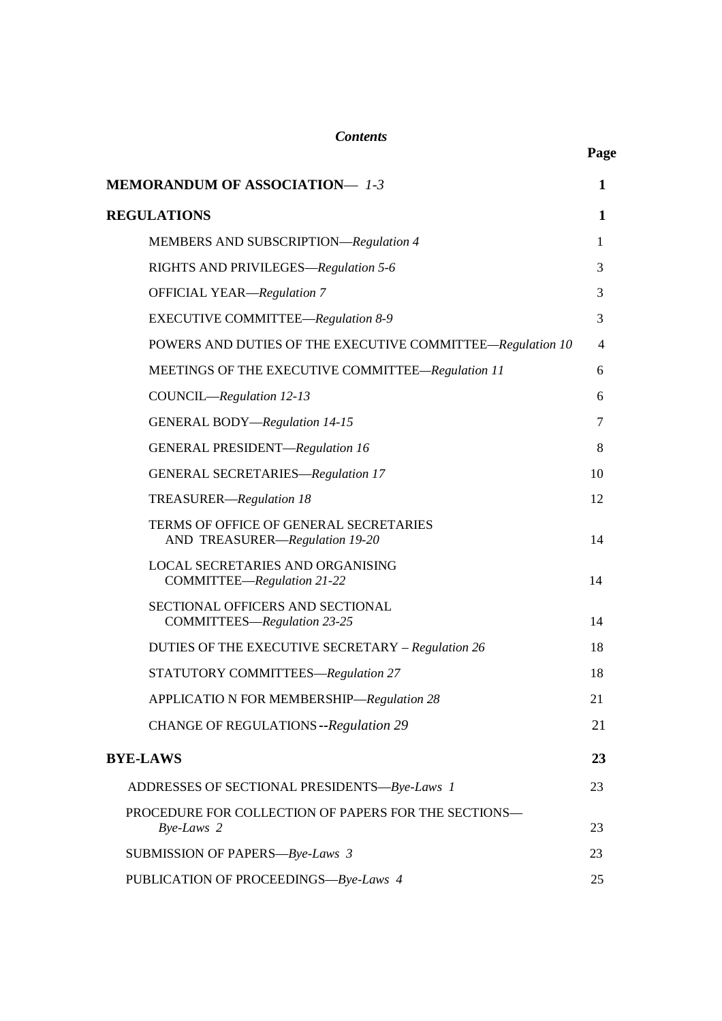| <b>MEMORANDUM OF ASSOCIATION-1-3</b>                                     | $\mathbf{1}$   |
|--------------------------------------------------------------------------|----------------|
| <b>REGULATIONS</b>                                                       | $\mathbf{1}$   |
| MEMBERS AND SUBSCRIPTION-Regulation 4                                    | 1              |
| RIGHTS AND PRIVILEGES-Regulation 5-6                                     | 3              |
| <b>OFFICIAL YEAR-Regulation 7</b>                                        | 3              |
| EXECUTIVE COMMITTEE-Regulation 8-9                                       | 3              |
| POWERS AND DUTIES OF THE EXECUTIVE COMMITTEE-Regulation 10               | $\overline{4}$ |
| MEETINGS OF THE EXECUTIVE COMMITTEE-Regulation 11                        | 6              |
| COUNCIL-Regulation 12-13                                                 | 6              |
| <b>GENERAL BODY-Regulation 14-15</b>                                     | 7              |
| GENERAL PRESIDENT-Regulation 16                                          | 8              |
| <b>GENERAL SECRETARIES-Regulation 17</b>                                 | 10             |
| TREASURER-Regulation 18                                                  | 12             |
| TERMS OF OFFICE OF GENERAL SECRETARIES<br>AND TREASURER-Regulation 19-20 | 14             |
| LOCAL SECRETARIES AND ORGANISING<br>COMMITTEE-Regulation 21-22           | 14             |
| SECTIONAL OFFICERS AND SECTIONAL<br>COMMITTEES-Regulation 23-25          | 14             |
| DUTIES OF THE EXECUTIVE SECRETARY - Regulation 26                        | 18             |
| <b>STATUTORY COMMITTEES-Regulation 27</b>                                | 18             |
| APPLICATIO N FOR MEMBERSHIP-Regulation 28                                | 21             |
| CHANGE OF REGULATIONS -- Regulation 29                                   | 21             |
| <b>BYE-LAWS</b>                                                          | 23             |
| ADDRESSES OF SECTIONAL PRESIDENTS-Bye-Laws 1                             | 23             |
| PROCEDURE FOR COLLECTION OF PAPERS FOR THE SECTIONS-<br>Bye-Laws 2       | 23             |
| SUBMISSION OF PAPERS-Bye-Laws 3                                          | 23             |
| PUBLICATION OF PROCEEDINGS-Bye-Laws 4                                    | 25             |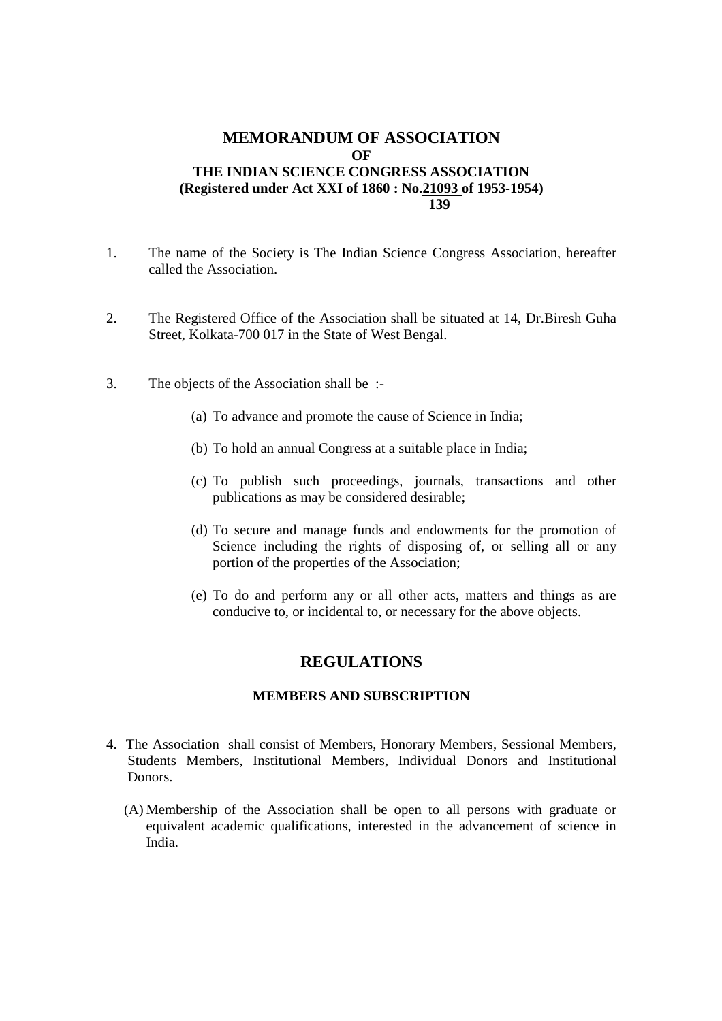## **MEMORANDUM OF ASSOCIATION OF THE INDIAN SCIENCE CONGRESS ASSOCIATION (Registered under Act XXI of 1860 : No.21093 of 1953-1954) 139**

- 1. The name of the Society is The Indian Science Congress Association, hereafter called the Association.
- 2. The Registered Office of the Association shall be situated at 14, Dr.Biresh Guha Street, Kolkata-700 017 in the State of West Bengal.
- 3. The objects of the Association shall be :-
	- (a) To advance and promote the cause of Science in India;
	- (b) To hold an annual Congress at a suitable place in India;
	- (c) To publish such proceedings, journals, transactions and other publications as may be considered desirable;
	- (d) To secure and manage funds and endowments for the promotion of Science including the rights of disposing of, or selling all or any portion of the properties of the Association;
	- (e) To do and perform any or all other acts, matters and things as are conducive to, or incidental to, or necessary for the above objects.

## **REGULATIONS**

#### **MEMBERS AND SUBSCRIPTION**

- 4. The Association shall consist of Members, Honorary Members, Sessional Members, Students Members, Institutional Members, Individual Donors and Institutional Donors.
	- (A) Membership of the Association shall be open to all persons with graduate or equivalent academic qualifications, interested in the advancement of science in India.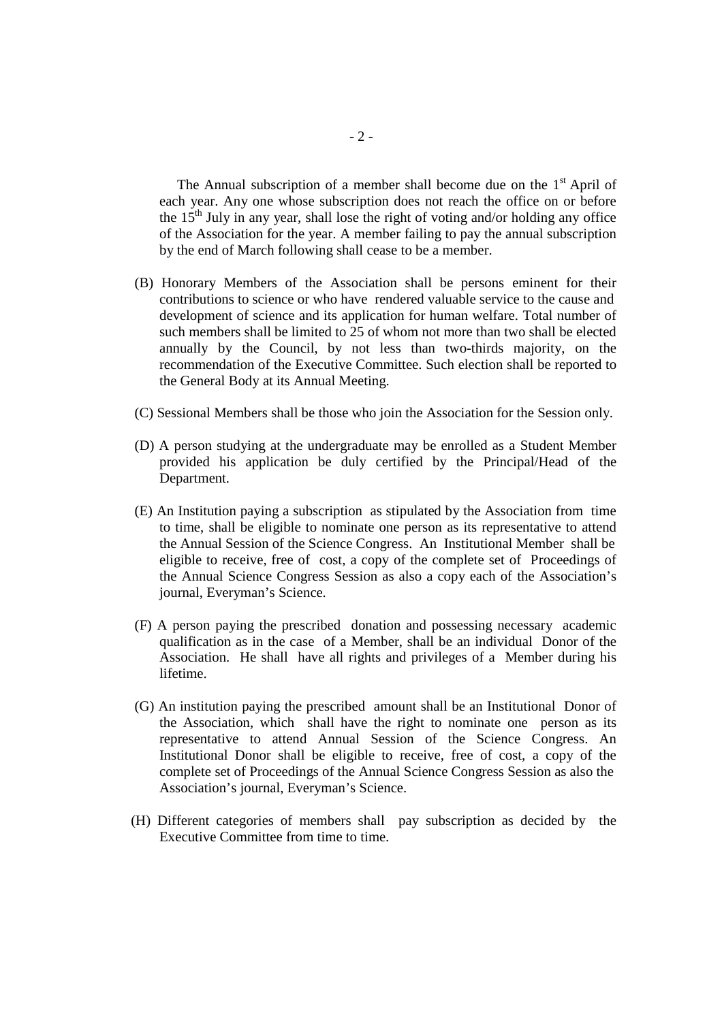The Annual subscription of a member shall become due on the  $1<sup>st</sup>$  April of each year. Any one whose subscription does not reach the office on or before the  $15<sup>th</sup>$  July in any year, shall lose the right of voting and/or holding any office of the Association for the year. A member failing to pay the annual subscription by the end of March following shall cease to be a member.

- (B) Honorary Members of the Association shall be persons eminent for their contributions to science or who have rendered valuable service to the cause and development of science and its application for human welfare. Total number of such members shall be limited to 25 of whom not more than two shall be elected annually by the Council, by not less than two-thirds majority, on the recommendation of the Executive Committee. Such election shall be reported to the General Body at its Annual Meeting.
- (C) Sessional Members shall be those who join the Association for the Session only.
- (D) A person studying at the undergraduate may be enrolled as a Student Member provided his application be duly certified by the Principal/Head of the Department.
- (E) An Institution paying a subscription as stipulated by the Association from time to time, shall be eligible to nominate one person as its representative to attend the Annual Session of the Science Congress. An Institutional Member shall be eligible to receive, free of cost, a copy of the complete set of Proceedings of the Annual Science Congress Session as also a copy each of the Association's journal, Everyman's Science.
- (F) A person paying the prescribed donation and possessing necessary academic qualification as in the case of a Member, shall be an individual Donor of the Association. He shall have all rights and privileges of a Member during his lifetime.
- (G) An institution paying the prescribed amount shall be an Institutional Donor of the Association, which shall have the right to nominate one person as its representative to attend Annual Session of the Science Congress. An Institutional Donor shall be eligible to receive, free of cost, a copy of the complete set of Proceedings of the Annual Science Congress Session as also the Association's journal, Everyman's Science.
- (H) Different categories of members shall pay subscription as decided by the Executive Committee from time to time.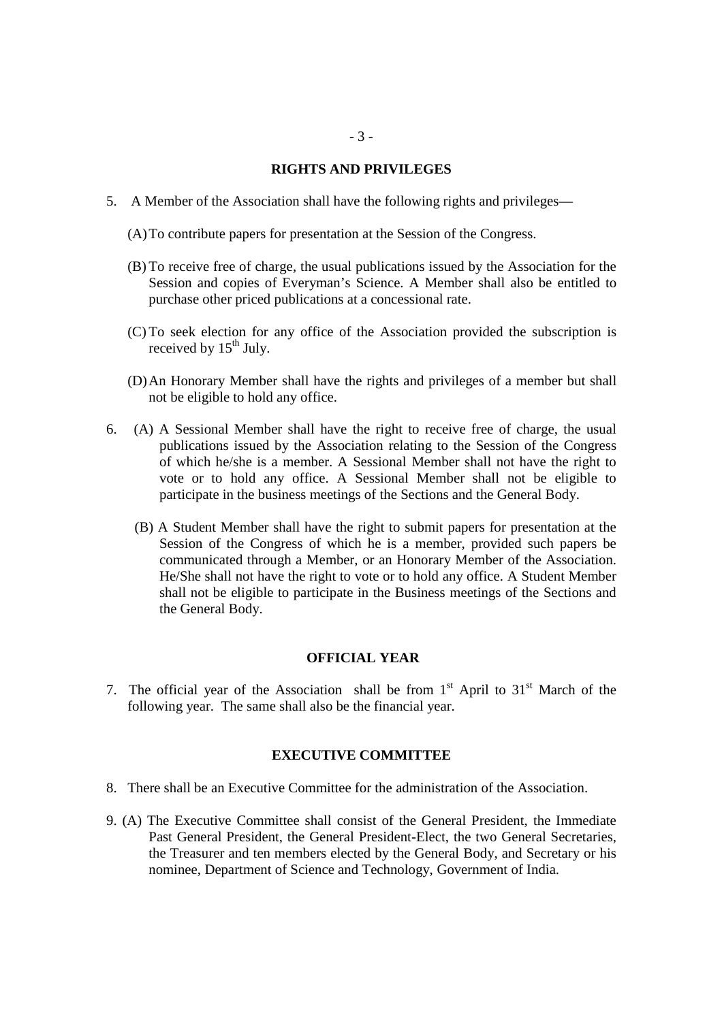### **RIGHTS AND PRIVILEGES**

- 5. A Member of the Association shall have the following rights and privileges—
	- (A)To contribute papers for presentation at the Session of the Congress.
	- (B) To receive free of charge, the usual publications issued by the Association for the Session and copies of Everyman's Science. A Member shall also be entitled to purchase other priced publications at a concessional rate.
	- (C) To seek election for any office of the Association provided the subscription is received by 15<sup>th</sup> July.
	- (D)An Honorary Member shall have the rights and privileges of a member but shall not be eligible to hold any office.
- 6. (A) A Sessional Member shall have the right to receive free of charge, the usual publications issued by the Association relating to the Session of the Congress of which he/she is a member. A Sessional Member shall not have the right to vote or to hold any office. A Sessional Member shall not be eligible to participate in the business meetings of the Sections and the General Body.
	- (B) A Student Member shall have the right to submit papers for presentation at the Session of the Congress of which he is a member, provided such papers be communicated through a Member, or an Honorary Member of the Association. He/She shall not have the right to vote or to hold any office. A Student Member shall not be eligible to participate in the Business meetings of the Sections and the General Body.

## **OFFICIAL YEAR**

7. The official year of the Association shall be from  $1<sup>st</sup>$  April to  $31<sup>st</sup>$  March of the following year. The same shall also be the financial year.

#### **EXECUTIVE COMMITTEE**

- 8. There shall be an Executive Committee for the administration of the Association.
- 9. (A) The Executive Committee shall consist of the General President, the Immediate Past General President, the General President-Elect, the two General Secretaries, the Treasurer and ten members elected by the General Body, and Secretary or his nominee, Department of Science and Technology, Government of India.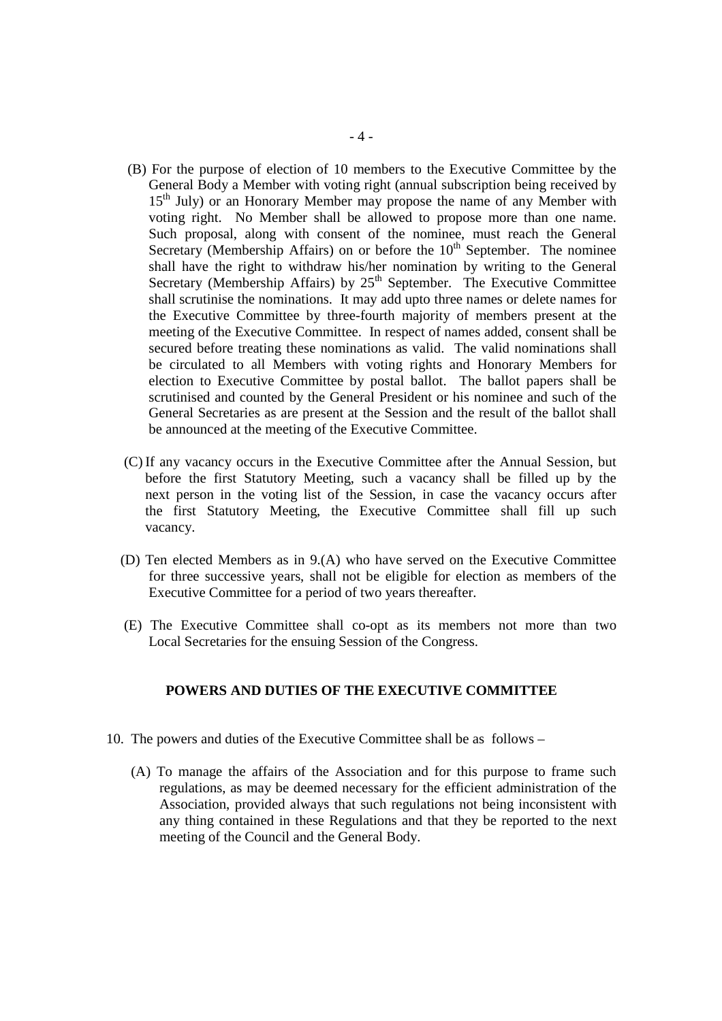- (B) For the purpose of election of 10 members to the Executive Committee by the General Body a Member with voting right (annual subscription being received by 15<sup>th</sup> July) or an Honorary Member may propose the name of any Member with voting right. No Member shall be allowed to propose more than one name. Such proposal, along with consent of the nominee, must reach the General Secretary (Membership Affairs) on or before the  $10<sup>th</sup>$  September. The nominee shall have the right to withdraw his/her nomination by writing to the General Secretary (Membership Affairs) by  $25<sup>th</sup>$  September. The Executive Committee shall scrutinise the nominations. It may add upto three names or delete names for the Executive Committee by three-fourth majority of members present at the meeting of the Executive Committee. In respect of names added, consent shall be secured before treating these nominations as valid. The valid nominations shall be circulated to all Members with voting rights and Honorary Members for election to Executive Committee by postal ballot. The ballot papers shall be scrutinised and counted by the General President or his nominee and such of the General Secretaries as are present at the Session and the result of the ballot shall be announced at the meeting of the Executive Committee.
- (C) If any vacancy occurs in the Executive Committee after the Annual Session, but before the first Statutory Meeting, such a vacancy shall be filled up by the next person in the voting list of the Session, in case the vacancy occurs after the first Statutory Meeting, the Executive Committee shall fill up such vacancy.
- (D) Ten elected Members as in 9.(A) who have served on the Executive Committee for three successive years, shall not be eligible for election as members of the Executive Committee for a period of two years thereafter.
- (E) The Executive Committee shall co-opt as its members not more than two Local Secretaries for the ensuing Session of the Congress.

#### **POWERS AND DUTIES OF THE EXECUTIVE COMMITTEE**

- 10. The powers and duties of the Executive Committee shall be as follows
	- (A) To manage the affairs of the Association and for this purpose to frame such regulations, as may be deemed necessary for the efficient administration of the Association, provided always that such regulations not being inconsistent with any thing contained in these Regulations and that they be reported to the next meeting of the Council and the General Body.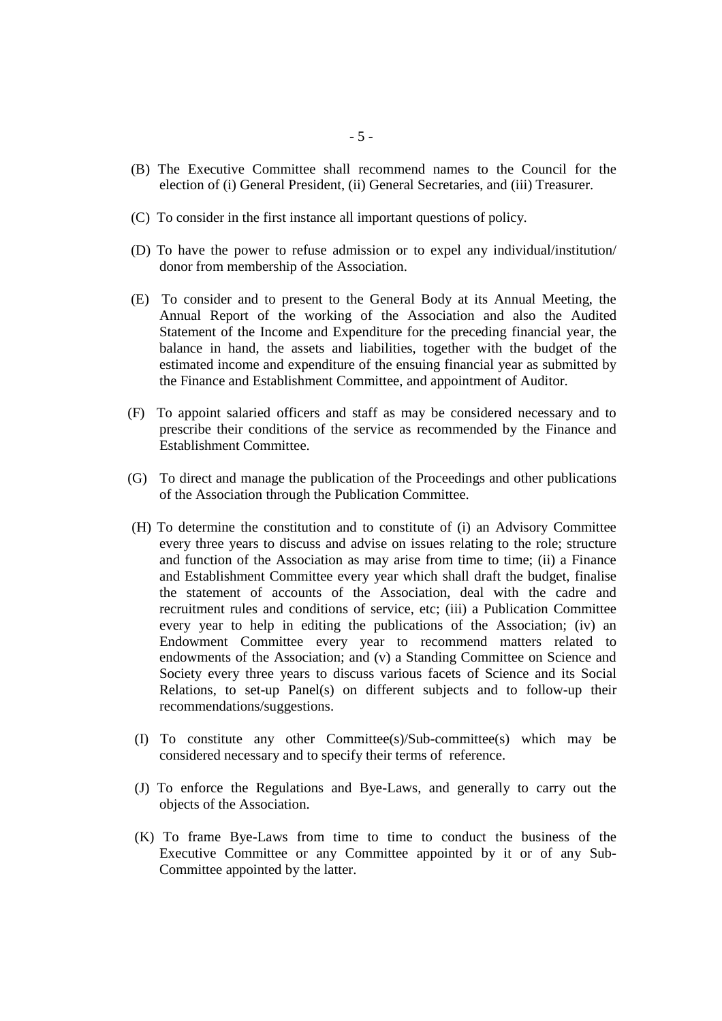- (B) The Executive Committee shall recommend names to the Council for the election of (i) General President, (ii) General Secretaries, and (iii) Treasurer.
- (C) To consider in the first instance all important questions of policy.
- (D) To have the power to refuse admission or to expel any individual/institution/ donor from membership of the Association.
- (E) To consider and to present to the General Body at its Annual Meeting, the Annual Report of the working of the Association and also the Audited Statement of the Income and Expenditure for the preceding financial year, the balance in hand, the assets and liabilities, together with the budget of the estimated income and expenditure of the ensuing financial year as submitted by the Finance and Establishment Committee, and appointment of Auditor.
- (F) To appoint salaried officers and staff as may be considered necessary and to prescribe their conditions of the service as recommended by the Finance and Establishment Committee.
- (G) To direct and manage the publication of the Proceedings and other publications of the Association through the Publication Committee.
- (H) To determine the constitution and to constitute of (i) an Advisory Committee every three years to discuss and advise on issues relating to the role; structure and function of the Association as may arise from time to time; (ii) a Finance and Establishment Committee every year which shall draft the budget, finalise the statement of accounts of the Association, deal with the cadre and recruitment rules and conditions of service, etc; (iii) a Publication Committee every year to help in editing the publications of the Association; (iv) an Endowment Committee every year to recommend matters related to endowments of the Association; and (v) a Standing Committee on Science and Society every three years to discuss various facets of Science and its Social Relations, to set-up Panel(s) on different subjects and to follow-up their recommendations/suggestions.
- (I) To constitute any other Committee(s)/Sub-committee(s) which may be considered necessary and to specify their terms of reference.
- (J) To enforce the Regulations and Bye-Laws, and generally to carry out the objects of the Association.
- (K) To frame Bye-Laws from time to time to conduct the business of the Executive Committee or any Committee appointed by it or of any Sub-Committee appointed by the latter.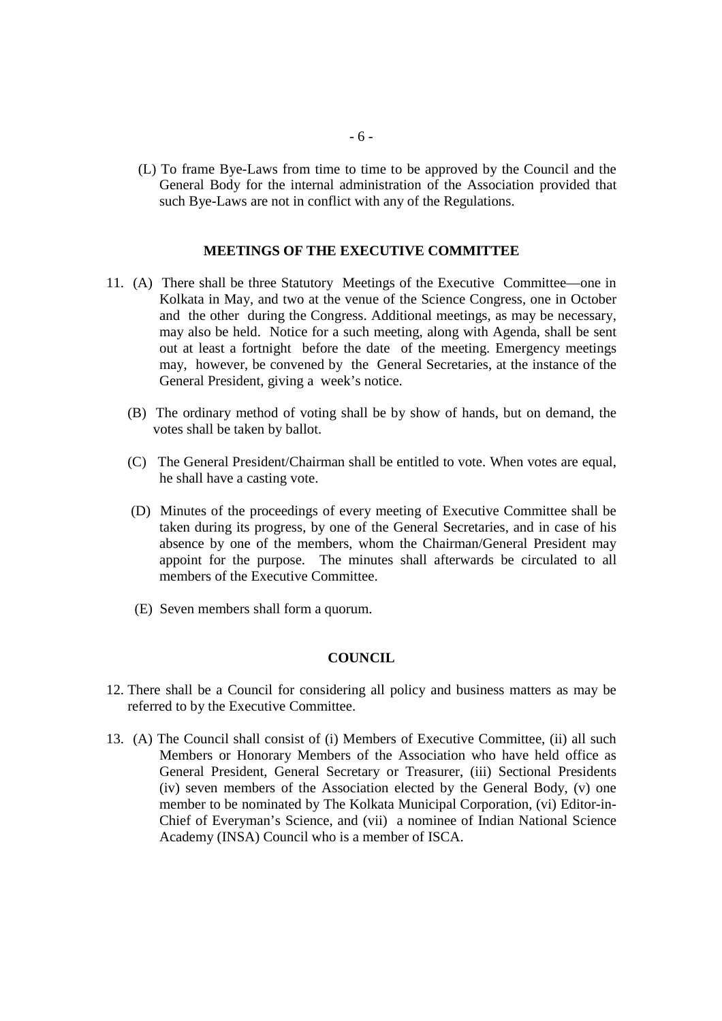(L) To frame Bye-Laws from time to time to be approved by the Council and the General Body for the internal administration of the Association provided that such Bye-Laws are not in conflict with any of the Regulations.

### **MEETINGS OF THE EXECUTIVE COMMITTEE**

- 11. (A) There shall be three Statutory Meetings of the Executive Committee—one in Kolkata in May, and two at the venue of the Science Congress, one in October and the other during the Congress. Additional meetings, as may be necessary, may also be held. Notice for a such meeting, along with Agenda, shall be sent out at least a fortnight before the date of the meeting. Emergency meetings may, however, be convened by the General Secretaries, at the instance of the General President, giving a week's notice.
	- (B) The ordinary method of voting shall be by show of hands, but on demand, the votes shall be taken by ballot.
	- (C) The General President/Chairman shall be entitled to vote. When votes are equal, he shall have a casting vote.
	- (D) Minutes of the proceedings of every meeting of Executive Committee shall be taken during its progress, by one of the General Secretaries, and in case of his absence by one of the members, whom the Chairman/General President may appoint for the purpose. The minutes shall afterwards be circulated to all members of the Executive Committee.
	- (E) Seven members shall form a quorum.

### **COUNCIL**

- 12. There shall be a Council for considering all policy and business matters as may be referred to by the Executive Committee.
- 13. (A) The Council shall consist of (i) Members of Executive Committee, (ii) all such Members or Honorary Members of the Association who have held office as General President, General Secretary or Treasurer, (iii) Sectional Presidents (iv) seven members of the Association elected by the General Body, (v) one member to be nominated by The Kolkata Municipal Corporation, (vi) Editor-in-Chief of Everyman's Science, and (vii) a nominee of Indian National Science Academy (INSA) Council who is a member of ISCA.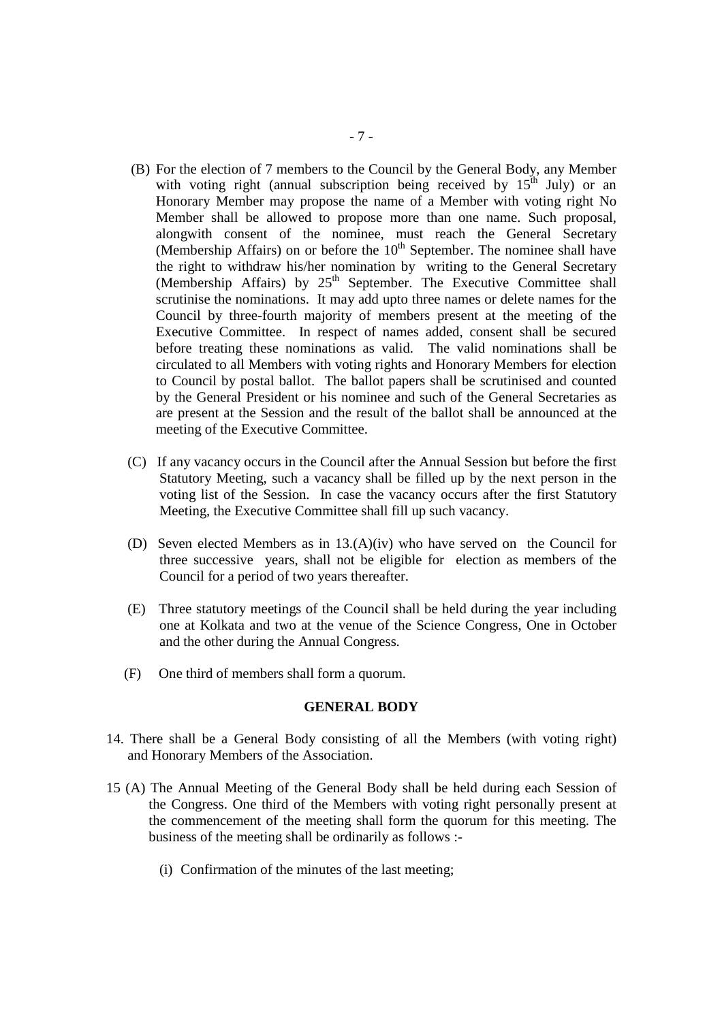- (B) For the election of 7 members to the Council by the General Body, any Member with voting right (annual subscription being received by  $15<sup>th</sup>$  July) or an Honorary Member may propose the name of a Member with voting right No Member shall be allowed to propose more than one name. Such proposal, alongwith consent of the nominee, must reach the General Secretary (Membership Affairs) on or before the  $10<sup>th</sup>$  September. The nominee shall have the right to withdraw his/her nomination by writing to the General Secretary (Membership Affairs) by  $25<sup>th</sup>$  September. The Executive Committee shall scrutinise the nominations. It may add upto three names or delete names for the Council by three-fourth majority of members present at the meeting of the Executive Committee. In respect of names added, consent shall be secured before treating these nominations as valid. The valid nominations shall be circulated to all Members with voting rights and Honorary Members for election to Council by postal ballot. The ballot papers shall be scrutinised and counted by the General President or his nominee and such of the General Secretaries as are present at the Session and the result of the ballot shall be announced at the meeting of the Executive Committee.
- (C) If any vacancy occurs in the Council after the Annual Session but before the first Statutory Meeting, such a vacancy shall be filled up by the next person in the voting list of the Session. In case the vacancy occurs after the first Statutory Meeting, the Executive Committee shall fill up such vacancy.
- (D) Seven elected Members as in 13.(A)(iv) who have served on the Council for three successive years, shall not be eligible for election as members of the Council for a period of two years thereafter.
- (E) Three statutory meetings of the Council shall be held during the year including one at Kolkata and two at the venue of the Science Congress, One in October and the other during the Annual Congress.
- (F) One third of members shall form a quorum.

#### **GENERAL BODY**

- 14. There shall be a General Body consisting of all the Members (with voting right) and Honorary Members of the Association.
- 15 (A) The Annual Meeting of the General Body shall be held during each Session of the Congress. One third of the Members with voting right personally present at the commencement of the meeting shall form the quorum for this meeting. The business of the meeting shall be ordinarily as follows :-
	- (i) Confirmation of the minutes of the last meeting;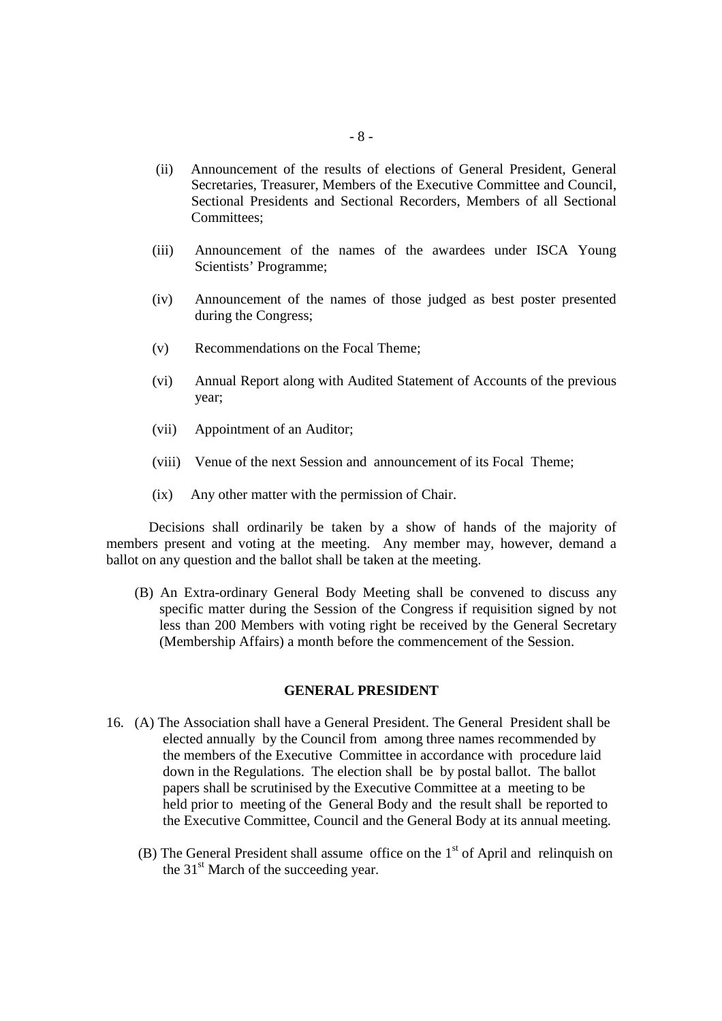- (ii) Announcement of the results of elections of General President, General Secretaries, Treasurer, Members of the Executive Committee and Council, Sectional Presidents and Sectional Recorders, Members of all Sectional Committees;
- (iii) Announcement of the names of the awardees under ISCA Young Scientists' Programme;
- (iv) Announcement of the names of those judged as best poster presented during the Congress;
- (v) Recommendations on the Focal Theme;
- (vi) Annual Report along with Audited Statement of Accounts of the previous year;
- (vii) Appointment of an Auditor;
- (viii) Venue of the next Session and announcement of its Focal Theme;
- (ix) Any other matter with the permission of Chair.

 Decisions shall ordinarily be taken by a show of hands of the majority of members present and voting at the meeting. Any member may, however, demand a ballot on any question and the ballot shall be taken at the meeting.

 (B) An Extra-ordinary General Body Meeting shall be convened to discuss any specific matter during the Session of the Congress if requisition signed by not less than 200 Members with voting right be received by the General Secretary (Membership Affairs) a month before the commencement of the Session.

#### **GENERAL PRESIDENT**

- 16. (A) The Association shall have a General President. The General President shall be elected annually by the Council from among three names recommended by the members of the Executive Committee in accordance with procedure laid down in the Regulations. The election shall be by postal ballot. The ballot papers shall be scrutinised by the Executive Committee at a meeting to be held prior to meeting of the General Body and the result shall be reported to the Executive Committee, Council and the General Body at its annual meeting.
	- (B) The General President shall assume office on the  $1<sup>st</sup>$  of April and relinquish on the  $31<sup>st</sup>$  March of the succeeding year.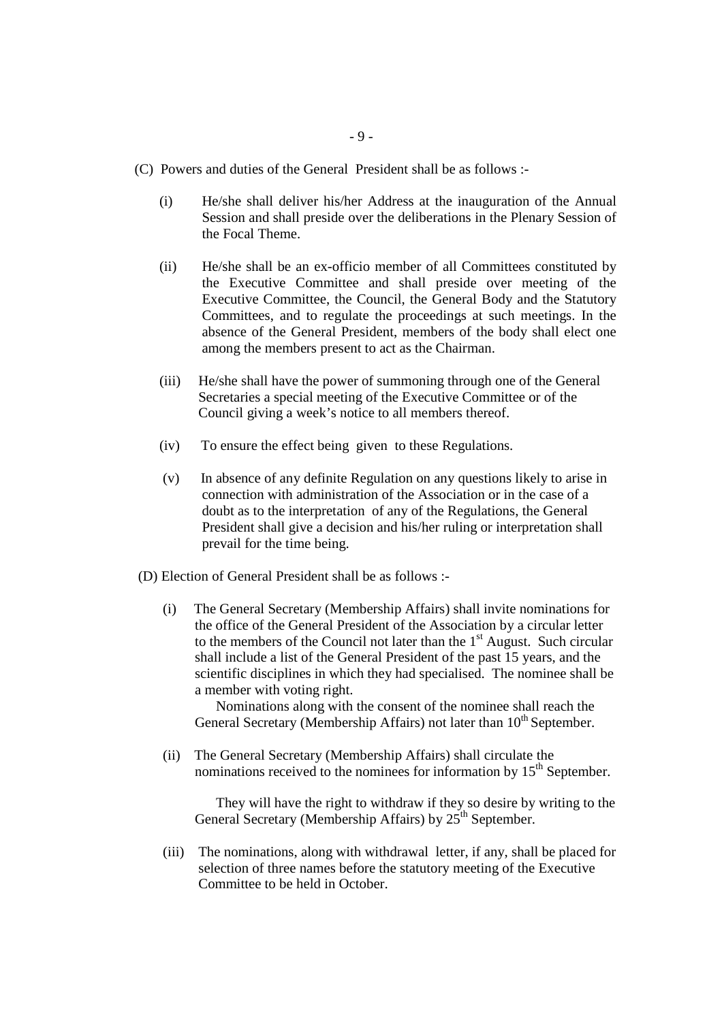- (C) Powers and duties of the General President shall be as follows :-
	- (i) He/she shall deliver his/her Address at the inauguration of the Annual Session and shall preside over the deliberations in the Plenary Session of the Focal Theme.
	- (ii) He/she shall be an ex-officio member of all Committees constituted by the Executive Committee and shall preside over meeting of the Executive Committee, the Council, the General Body and the Statutory Committees, and to regulate the proceedings at such meetings. In the absence of the General President, members of the body shall elect one among the members present to act as the Chairman.
	- (iii) He/she shall have the power of summoning through one of the General Secretaries a special meeting of the Executive Committee or of the Council giving a week's notice to all members thereof.
	- (iv) To ensure the effect being given to these Regulations.
	- (v) In absence of any definite Regulation on any questions likely to arise in connection with administration of the Association or in the case of a doubt as to the interpretation of any of the Regulations, the General President shall give a decision and his/her ruling or interpretation shall prevail for the time being.
- (D) Election of General President shall be as follows :-
	- (i) The General Secretary (Membership Affairs) shall invite nominations for the office of the General President of the Association by a circular letter to the members of the Council not later than the  $1<sup>st</sup>$  August. Such circular shall include a list of the General President of the past 15 years, and the scientific disciplines in which they had specialised. The nominee shall be a member with voting right.

 Nominations along with the consent of the nominee shall reach the General Secretary (Membership Affairs) not later than  $10<sup>th</sup>$  September.

 (ii) The General Secretary (Membership Affairs) shall circulate the nominations received to the nominees for information by  $15<sup>th</sup>$  September.

 They will have the right to withdraw if they so desire by writing to the General Secretary (Membership Affairs) by  $25<sup>th</sup>$  September.

 (iii) The nominations, along with withdrawal letter, if any, shall be placed for selection of three names before the statutory meeting of the Executive Committee to be held in October.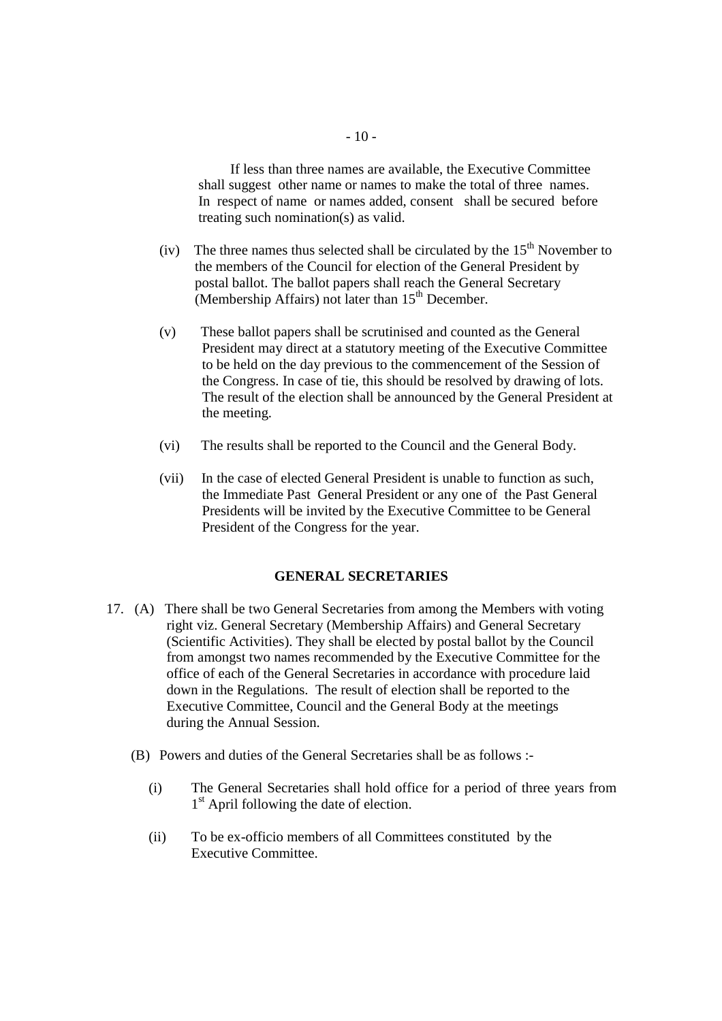If less than three names are available, the Executive Committee shall suggest other name or names to make the total of three names. In respect of name or names added, consent shall be secured before treating such nomination(s) as valid.

- (iv) The three names thus selected shall be circulated by the  $15<sup>th</sup>$  November to the members of the Council for election of the General President by postal ballot. The ballot papers shall reach the General Secretary (Membership Affairs) not later than  $15<sup>th</sup>$  December.
- (v) These ballot papers shall be scrutinised and counted as the General President may direct at a statutory meeting of the Executive Committee to be held on the day previous to the commencement of the Session of the Congress. In case of tie, this should be resolved by drawing of lots. The result of the election shall be announced by the General President at the meeting.
- (vi) The results shall be reported to the Council and the General Body.
- (vii) In the case of elected General President is unable to function as such, the Immediate Past General President or any one of the Past General Presidents will be invited by the Executive Committee to be General President of the Congress for the year.

#### **GENERAL SECRETARIES**

- 17. (A) There shall be two General Secretaries from among the Members with voting right viz. General Secretary (Membership Affairs) and General Secretary (Scientific Activities). They shall be elected by postal ballot by the Council from amongst two names recommended by the Executive Committee for the office of each of the General Secretaries in accordance with procedure laid down in the Regulations. The result of election shall be reported to the Executive Committee, Council and the General Body at the meetings during the Annual Session.
	- (B) Powers and duties of the General Secretaries shall be as follows :-
		- (i) The General Secretaries shall hold office for a period of three years from 1<sup>st</sup> April following the date of election.
		- (ii) To be ex-officio members of all Committees constituted by the Executive Committee.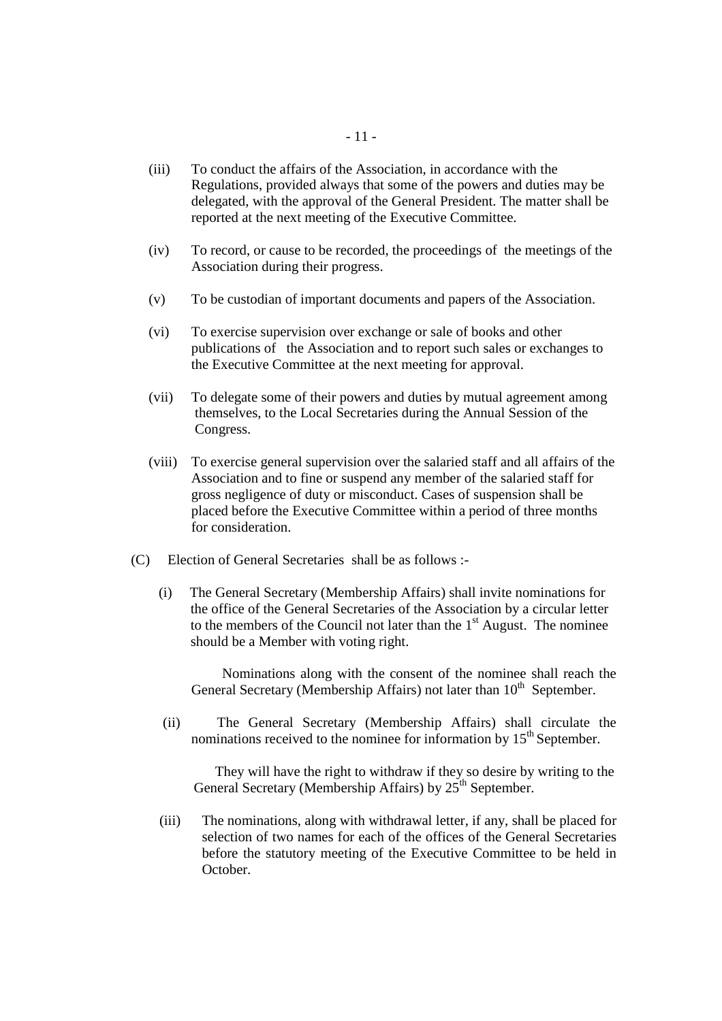- (iii) To conduct the affairs of the Association, in accordance with the Regulations, provided always that some of the powers and duties may be delegated, with the approval of the General President. The matter shall be reported at the next meeting of the Executive Committee.
- (iv) To record, or cause to be recorded, the proceedings of the meetings of the Association during their progress.
- (v) To be custodian of important documents and papers of the Association.
- (vi) To exercise supervision over exchange or sale of books and other publications of the Association and to report such sales or exchanges to the Executive Committee at the next meeting for approval.
- (vii) To delegate some of their powers and duties by mutual agreement among themselves, to the Local Secretaries during the Annual Session of the Congress.
- (viii) To exercise general supervision over the salaried staff and all affairs of the Association and to fine or suspend any member of the salaried staff for gross negligence of duty or misconduct. Cases of suspension shall be placed before the Executive Committee within a period of three months for consideration.
- (C) Election of General Secretaries shall be as follows :-
	- (i) The General Secretary (Membership Affairs) shall invite nominations for the office of the General Secretaries of the Association by a circular letter to the members of the Council not later than the  $1<sup>st</sup>$  August. The nominee should be a Member with voting right.

 Nominations along with the consent of the nominee shall reach the General Secretary (Membership Affairs) not later than  $10<sup>th</sup>$  September.

 (ii) The General Secretary (Membership Affairs) shall circulate the nominations received to the nominee for information by  $15<sup>th</sup>$  September.

 They will have the right to withdraw if they so desire by writing to the General Secretary (Membership Affairs) by  $25<sup>th</sup>$  September.

(iii) The nominations, along with withdrawal letter, if any, shall be placed for selection of two names for each of the offices of the General Secretaries before the statutory meeting of the Executive Committee to be held in October.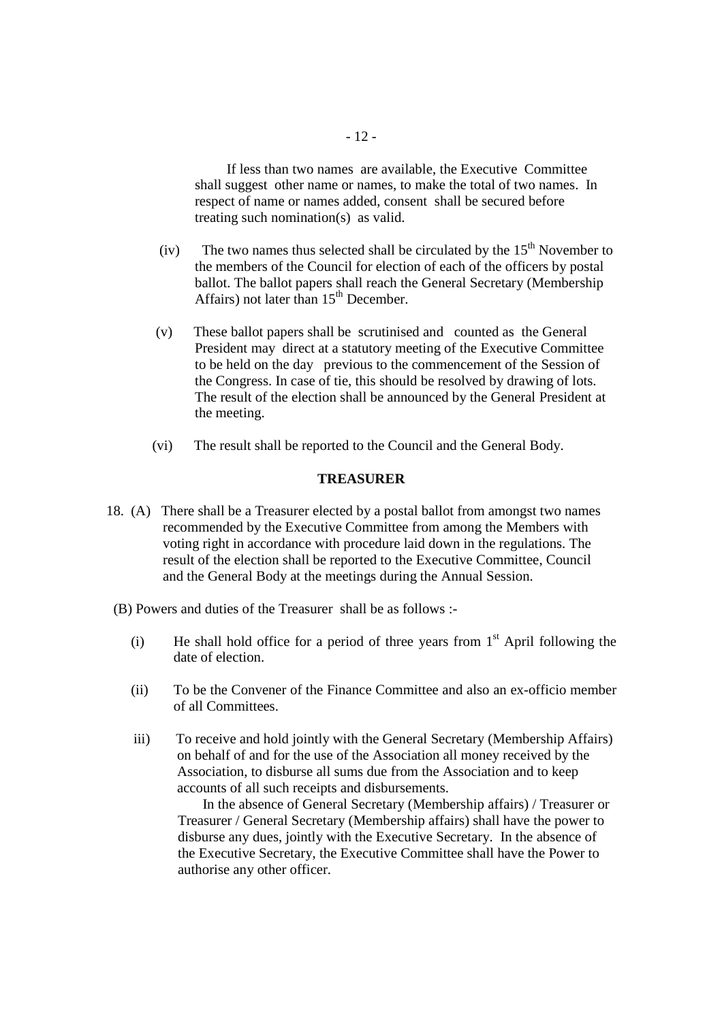If less than two names are available, the Executive Committee shall suggest other name or names, to make the total of two names. In respect of name or names added, consent shall be secured before treating such nomination(s) as valid.

- (iv) The two names thus selected shall be circulated by the  $15<sup>th</sup>$  November to the members of the Council for election of each of the officers by postal ballot. The ballot papers shall reach the General Secretary (Membership Affairs) not later than  $15<sup>th</sup>$  December.
- (v) These ballot papers shall be scrutinised and counted as the General President may direct at a statutory meeting of the Executive Committee to be held on the day previous to the commencement of the Session of the Congress. In case of tie, this should be resolved by drawing of lots. The result of the election shall be announced by the General President at the meeting.
- (vi) The result shall be reported to the Council and the General Body.

#### **TREASURER**

- 18. (A) There shall be a Treasurer elected by a postal ballot from amongst two names recommended by the Executive Committee from among the Members with voting right in accordance with procedure laid down in the regulations. The result of the election shall be reported to the Executive Committee, Council and the General Body at the meetings during the Annual Session.
	- (B) Powers and duties of the Treasurer shall be as follows :-
		- (i) He shall hold office for a period of three years from  $1<sup>st</sup>$  April following the date of election.
		- (ii) To be the Convener of the Finance Committee and also an ex-officio member of all Committees.
		- iii) To receive and hold jointly with the General Secretary (Membership Affairs) on behalf of and for the use of the Association all money received by the Association, to disburse all sums due from the Association and to keep accounts of all such receipts and disbursements.

 In the absence of General Secretary (Membership affairs) / Treasurer or Treasurer / General Secretary (Membership affairs) shall have the power to disburse any dues, jointly with the Executive Secretary. In the absence of the Executive Secretary, the Executive Committee shall have the Power to authorise any other officer.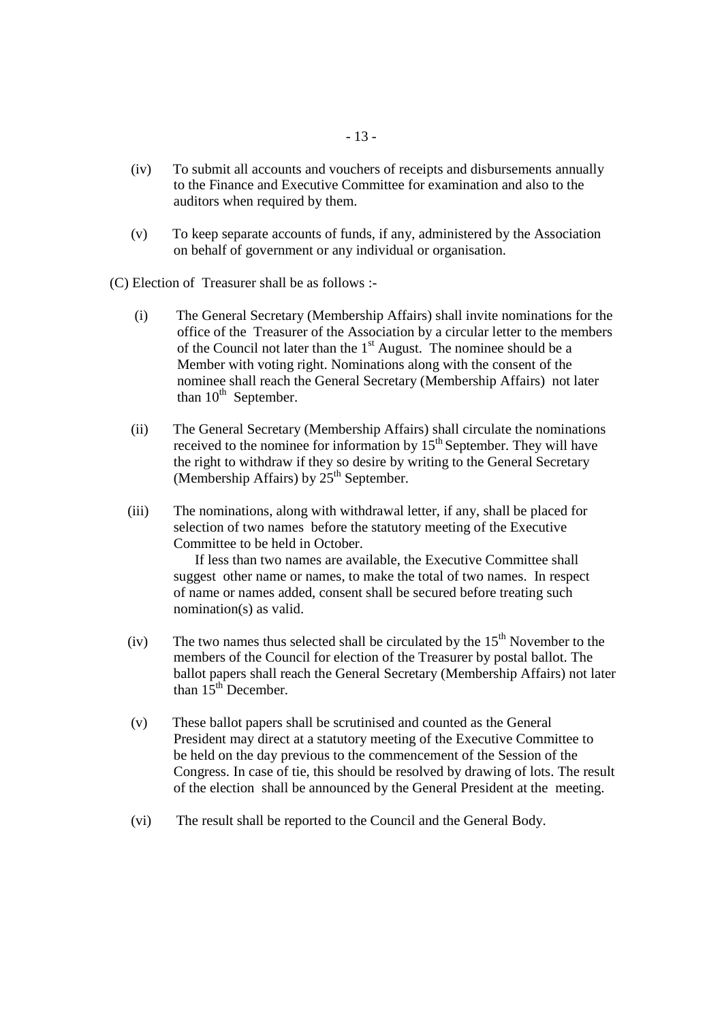- (iv) To submit all accounts and vouchers of receipts and disbursements annually to the Finance and Executive Committee for examination and also to the auditors when required by them.
- (v) To keep separate accounts of funds, if any, administered by the Association on behalf of government or any individual or organisation.

(C) Election of Treasurer shall be as follows :-

- (i) The General Secretary (Membership Affairs) shall invite nominations for the office of the Treasurer of the Association by a circular letter to the members of the Council not later than the  $1<sup>st</sup>$  August. The nominee should be a Member with voting right. Nominations along with the consent of the nominee shall reach the General Secretary (Membership Affairs) not later than  $10^{th}$  September.
- (ii) The General Secretary (Membership Affairs) shall circulate the nominations received to the nominee for information by  $15<sup>th</sup>$  September. They will have the right to withdraw if they so desire by writing to the General Secretary (Membership Affairs) by  $25<sup>th</sup>$  September.
- (iii) The nominations, along with withdrawal letter, if any, shall be placed for selection of two names before the statutory meeting of the Executive Committee to be held in October.

 If less than two names are available, the Executive Committee shall suggest other name or names, to make the total of two names. In respect of name or names added, consent shall be secured before treating such nomination(s) as valid.

- (iv) The two names thus selected shall be circulated by the  $15<sup>th</sup>$  November to the members of the Council for election of the Treasurer by postal ballot. The ballot papers shall reach the General Secretary (Membership Affairs) not later than  $15<sup>th</sup>$  December.
- (v) These ballot papers shall be scrutinised and counted as the General President may direct at a statutory meeting of the Executive Committee to be held on the day previous to the commencement of the Session of the Congress. In case of tie, this should be resolved by drawing of lots. The result of the election shall be announced by the General President at the meeting.
- (vi) The result shall be reported to the Council and the General Body.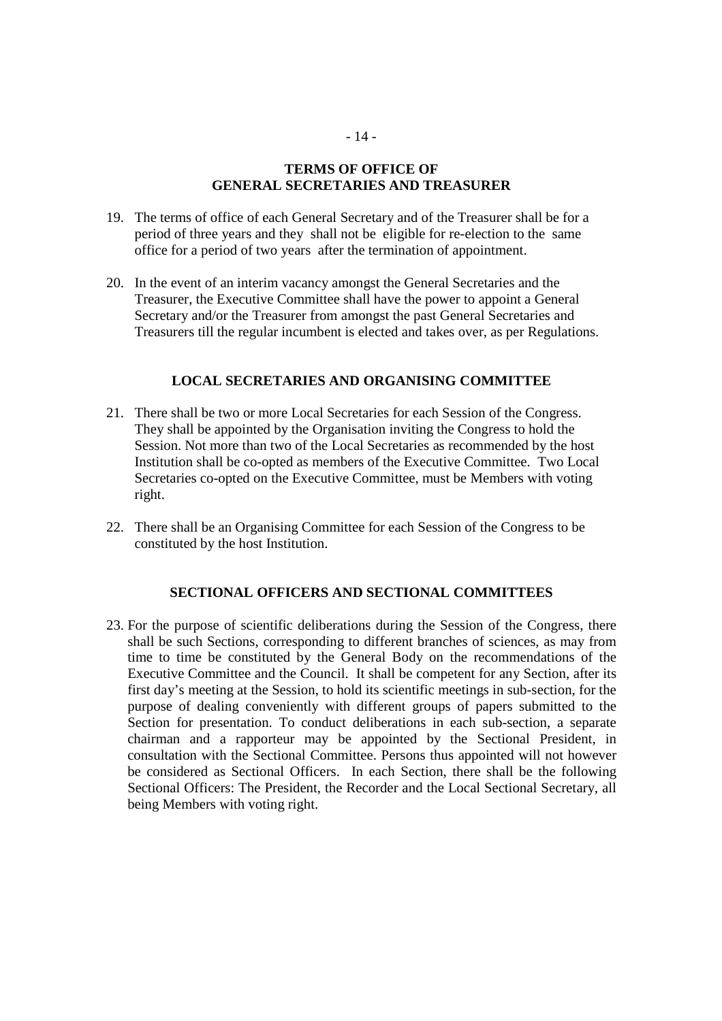## **TERMS OF OFFICE OF GENERAL SECRETARIES AND TREASURER**

- 19. The terms of office of each General Secretary and of the Treasurer shall be for a period of three years and they shall not be eligible for re-election to the same office for a period of two years after the termination of appointment.
- 20. In the event of an interim vacancy amongst the General Secretaries and the Treasurer, the Executive Committee shall have the power to appoint a General Secretary and/or the Treasurer from amongst the past General Secretaries and Treasurers till the regular incumbent is elected and takes over, as per Regulations.

### **LOCAL SECRETARIES AND ORGANISING COMMITTEE**

- 21. There shall be two or more Local Secretaries for each Session of the Congress. They shall be appointed by the Organisation inviting the Congress to hold the Session. Not more than two of the Local Secretaries as recommended by the host Institution shall be co-opted as members of the Executive Committee. Two Local Secretaries co-opted on the Executive Committee, must be Members with voting right.
- 22. There shall be an Organising Committee for each Session of the Congress to be constituted by the host Institution.

### **SECTIONAL OFFICERS AND SECTIONAL COMMITTEES**

23. For the purpose of scientific deliberations during the Session of the Congress, there shall be such Sections, corresponding to different branches of sciences, as may from time to time be constituted by the General Body on the recommendations of the Executive Committee and the Council. It shall be competent for any Section, after its first day's meeting at the Session, to hold its scientific meetings in sub-section, for the purpose of dealing conveniently with different groups of papers submitted to the Section for presentation. To conduct deliberations in each sub-section, a separate chairman and a rapporteur may be appointed by the Sectional President, in consultation with the Sectional Committee. Persons thus appointed will not however be considered as Sectional Officers. In each Section, there shall be the following Sectional Officers: The President, the Recorder and the Local Sectional Secretary, all being Members with voting right.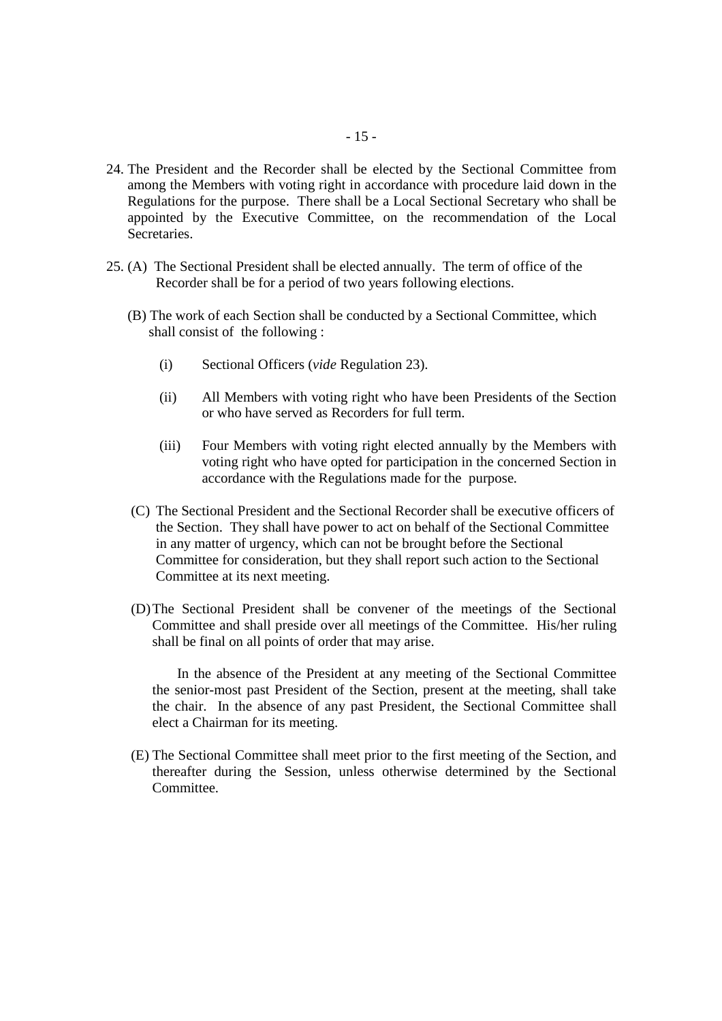- 24. The President and the Recorder shall be elected by the Sectional Committee from among the Members with voting right in accordance with procedure laid down in the Regulations for the purpose. There shall be a Local Sectional Secretary who shall be appointed by the Executive Committee, on the recommendation of the Local Secretaries.
- 25. (A) The Sectional President shall be elected annually. The term of office of the Recorder shall be for a period of two years following elections.
	- (B) The work of each Section shall be conducted by a Sectional Committee, which shall consist of the following :
		- (i) Sectional Officers (*vide* Regulation 23).
		- (ii) All Members with voting right who have been Presidents of the Section or who have served as Recorders for full term.
		- (iii) Four Members with voting right elected annually by the Members with voting right who have opted for participation in the concerned Section in accordance with the Regulations made for the purpose.
	- (C) The Sectional President and the Sectional Recorder shall be executive officers of the Section. They shall have power to act on behalf of the Sectional Committee in any matter of urgency, which can not be brought before the Sectional Committee for consideration, but they shall report such action to the Sectional Committee at its next meeting.
	- (D)The Sectional President shall be convener of the meetings of the Sectional Committee and shall preside over all meetings of the Committee. His/her ruling shall be final on all points of order that may arise.

 In the absence of the President at any meeting of the Sectional Committee the senior-most past President of the Section, present at the meeting, shall take the chair. In the absence of any past President, the Sectional Committee shall elect a Chairman for its meeting.

(E) The Sectional Committee shall meet prior to the first meeting of the Section, and thereafter during the Session, unless otherwise determined by the Sectional Committee.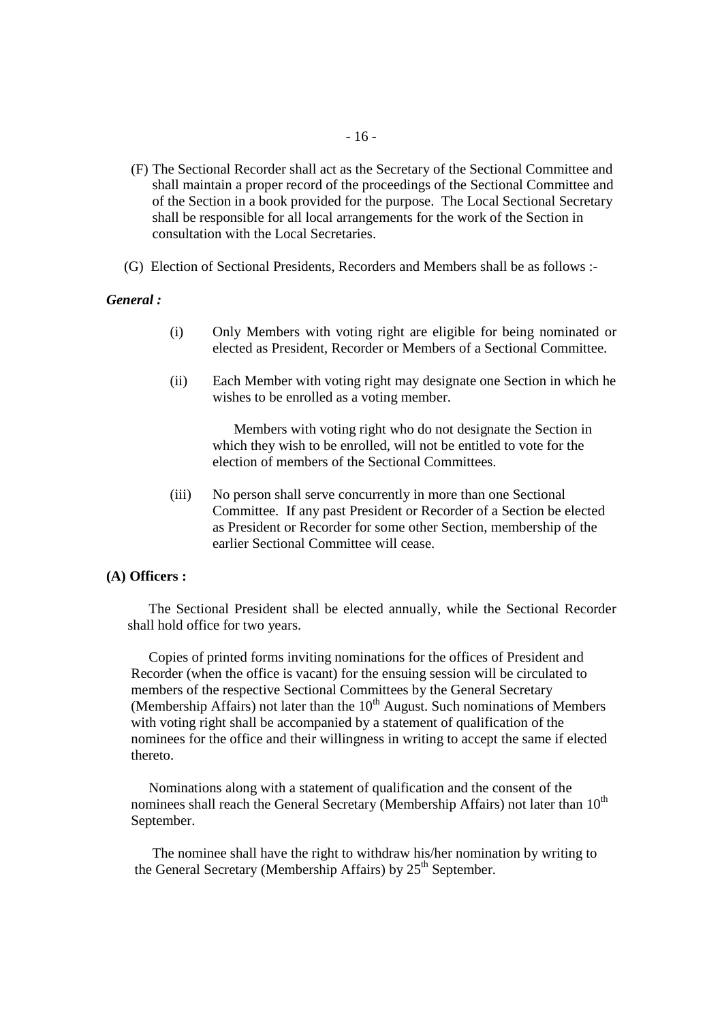- (F) The Sectional Recorder shall act as the Secretary of the Sectional Committee and shall maintain a proper record of the proceedings of the Sectional Committee and of the Section in a book provided for the purpose. The Local Sectional Secretary shall be responsible for all local arrangements for the work of the Section in consultation with the Local Secretaries.
- (G) Election of Sectional Presidents, Recorders and Members shall be as follows :-

#### *General :*

- (i) Only Members with voting right are eligible for being nominated or elected as President, Recorder or Members of a Sectional Committee.
- (ii) Each Member with voting right may designate one Section in which he wishes to be enrolled as a voting member.

 Members with voting right who do not designate the Section in which they wish to be enrolled, will not be entitled to vote for the election of members of the Sectional Committees.

(iii) No person shall serve concurrently in more than one Sectional Committee. If any past President or Recorder of a Section be elected as President or Recorder for some other Section, membership of the earlier Sectional Committee will cease.

#### **(A) Officers :**

 The Sectional President shall be elected annually, while the Sectional Recorder shall hold office for two years.

 Copies of printed forms inviting nominations for the offices of President and Recorder (when the office is vacant) for the ensuing session will be circulated to members of the respective Sectional Committees by the General Secretary (Membership Affairs) not later than the  $10<sup>th</sup>$  August. Such nominations of Members with voting right shall be accompanied by a statement of qualification of the nominees for the office and their willingness in writing to accept the same if elected thereto.

 Nominations along with a statement of qualification and the consent of the nominees shall reach the General Secretary (Membership Affairs) not later than  $10^{th}$ September.

 The nominee shall have the right to withdraw his/her nomination by writing to the General Secretary (Membership Affairs) by  $25<sup>th</sup>$  September.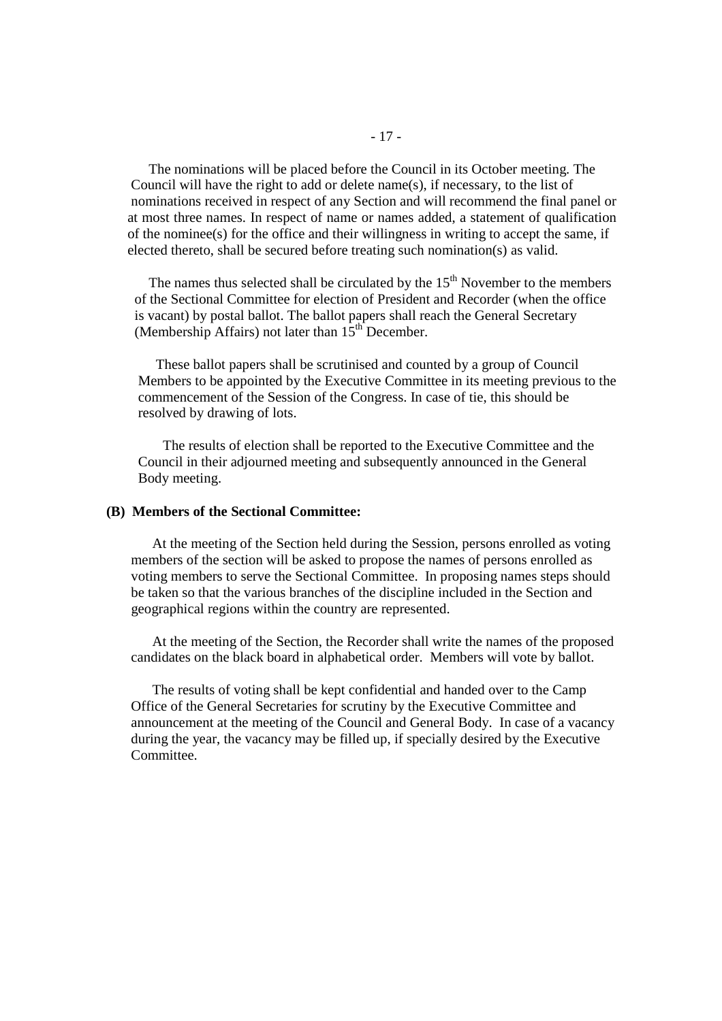The nominations will be placed before the Council in its October meeting. The Council will have the right to add or delete name(s), if necessary, to the list of nominations received in respect of any Section and will recommend the final panel or at most three names. In respect of name or names added, a statement of qualification of the nominee(s) for the office and their willingness in writing to accept the same, if elected thereto, shall be secured before treating such nomination(s) as valid.

The names thus selected shall be circulated by the  $15<sup>th</sup>$  November to the members of the Sectional Committee for election of President and Recorder (when the office is vacant) by postal ballot. The ballot papers shall reach the General Secretary (Membership Affairs) not later than  $15<sup>th</sup>$  December.

 These ballot papers shall be scrutinised and counted by a group of Council Members to be appointed by the Executive Committee in its meeting previous to the commencement of the Session of the Congress. In case of tie, this should be resolved by drawing of lots.

 The results of election shall be reported to the Executive Committee and the Council in their adjourned meeting and subsequently announced in the General Body meeting.

#### **(B) Members of the Sectional Committee:**

At the meeting of the Section held during the Session, persons enrolled as voting members of the section will be asked to propose the names of persons enrolled as voting members to serve the Sectional Committee. In proposing names steps should be taken so that the various branches of the discipline included in the Section and geographical regions within the country are represented.

 At the meeting of the Section, the Recorder shall write the names of the proposed candidates on the black board in alphabetical order. Members will vote by ballot.

 The results of voting shall be kept confidential and handed over to the Camp Office of the General Secretaries for scrutiny by the Executive Committee and announcement at the meeting of the Council and General Body. In case of a vacancy during the year, the vacancy may be filled up, if specially desired by the Executive Committee.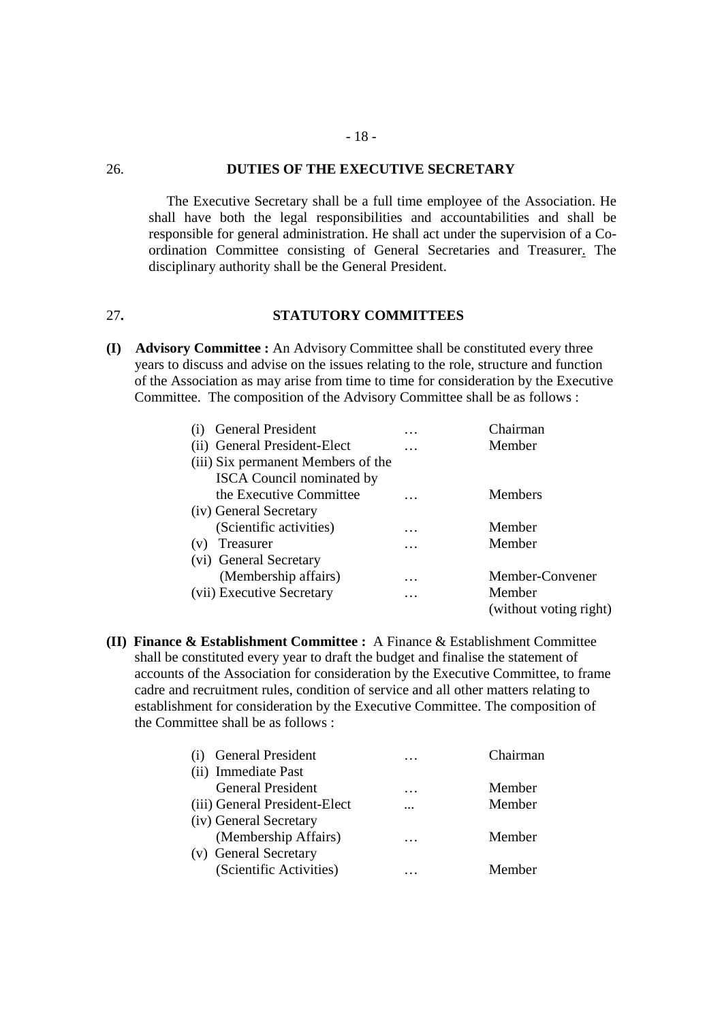### 26. **DUTIES OF THE EXECUTIVE SECRETARY**

The Executive Secretary shall be a full time employee of the Association. He shall have both the legal responsibilities and accountabilities and shall be responsible for general administration. He shall act under the supervision of a Coordination Committee consisting of General Secretaries and Treasurer. The disciplinary authority shall be the General President.

### 27**. STATUTORY COMMITTEES**

**(I) Advisory Committee :** An Advisory Committee shall be constituted every three years to discuss and advise on the issues relating to the role, structure and function of the Association as may arise from time to time for consideration by the Executive Committee. The composition of the Advisory Committee shall be as follows :

|     | <b>General President</b>           | $\cdots$ | Chairman               |
|-----|------------------------------------|----------|------------------------|
|     | (ii) General President-Elect       | .        | Member                 |
|     | (iii) Six permanent Members of the |          |                        |
|     | <b>ISCA</b> Council nominated by   |          |                        |
|     | the Executive Committee            |          | <b>Members</b>         |
|     | (iv) General Secretary             |          |                        |
|     | (Scientific activities)            | $\cdots$ | Member                 |
| (v) | Treasurer                          | $\cdots$ | Member                 |
|     | (vi) General Secretary             |          |                        |
|     | (Membership affairs)               | .        | Member-Convener        |
|     | (vii) Executive Secretary          | .        | Member                 |
|     |                                    |          | (without voting right) |

**(II) Finance & Establishment Committee :** A Finance & Establishment Committee shall be constituted every year to draft the budget and finalise the statement of accounts of the Association for consideration by the Executive Committee, to frame cadre and recruitment rules, condition of service and all other matters relating to establishment for consideration by the Executive Committee. The composition of the Committee shall be as follows :

| <b>General President</b>      | $\ddotsc$ | Chairman |
|-------------------------------|-----------|----------|
| (ii) Immediate Past           |           |          |
| <b>General President</b>      | $\cdots$  | Member   |
| (iii) General President-Elect | $\cdots$  | Member   |
| (iv) General Secretary        |           |          |
| (Membership Affairs)          | $\cdots$  | Member   |
| (v) General Secretary         |           |          |
| (Scientific Activities)       | $\cdots$  | Member   |
|                               |           |          |

- 18 -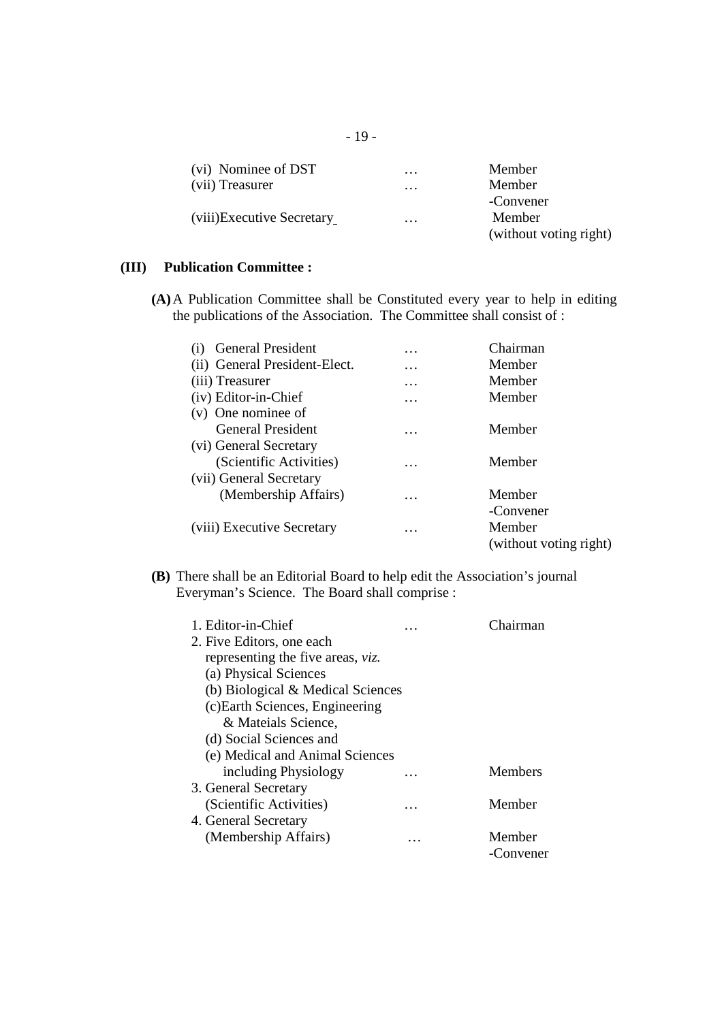| (vi) Nominee of DST        | $\cdots$ | Member                 |
|----------------------------|----------|------------------------|
| (vii) Treasurer            | $\cdots$ | Member                 |
|                            |          | -Convener              |
| (viii) Executive Secretary | $\cdots$ | Member                 |
|                            |          | (without voting right) |

## **(III) Publication Committee :**

**(A)**A Publication Committee shall be Constituted every year to help in editing the publications of the Association. The Committee shall consist of :

| <b>General President</b>      | $\cdots$ | Chairman               |
|-------------------------------|----------|------------------------|
| (ii) General President-Elect. | .        | Member                 |
| (iii) Treasurer               | $\cdots$ | Member                 |
| (iv) Editor-in-Chief          | $\cdots$ | Member                 |
| (v) One nominee of            |          |                        |
| <b>General President</b>      | .        | Member                 |
| (vi) General Secretary        |          |                        |
| (Scientific Activities)       | .        | Member                 |
| (vii) General Secretary       |          |                        |
| (Membership Affairs)          | .        | Member                 |
|                               |          | -Convener              |
| (viii) Executive Secretary    | .        | Member                 |
|                               |          | (without voting right) |
|                               |          |                        |

**(B)** There shall be an Editorial Board to help edit the Association's journal Everyman's Science. The Board shall comprise :

| 1. Editor-in-Chief                |   | hairman        |
|-----------------------------------|---|----------------|
| 2. Five Editors, one each         |   |                |
| representing the five areas, viz. |   |                |
| (a) Physical Sciences             |   |                |
| (b) Biological & Medical Sciences |   |                |
| (c) Earth Sciences, Engineering   |   |                |
| & Mateials Science,               |   |                |
| (d) Social Sciences and           |   |                |
| (e) Medical and Animal Sciences   |   |                |
| including Physiology              |   | <b>Members</b> |
| 3. General Secretary              |   |                |
| (Scientific Activities)           | . | Member         |
| 4. General Secretary              |   |                |
| (Membership Affairs)              | . | Member         |
|                                   |   | -Convener      |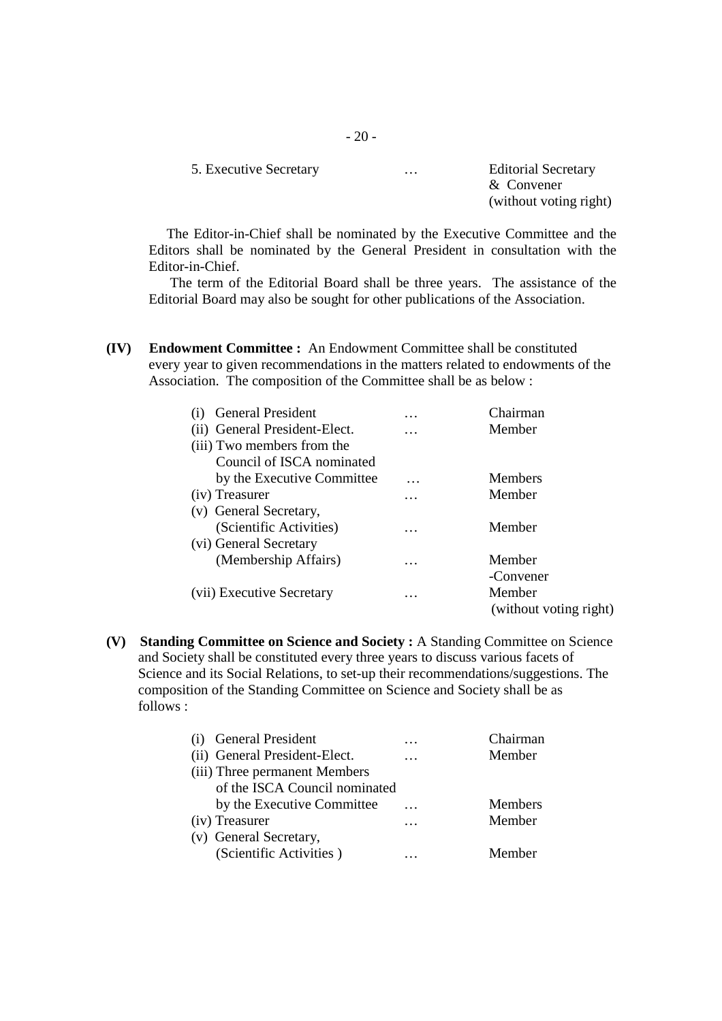| 5. Executive Secretary | $\cdots$ | <b>Editorial Secretary</b> |
|------------------------|----------|----------------------------|
|                        |          | $&$ Convener               |
|                        |          | (without voting right)     |
|                        |          |                            |

The Editor-in-Chief shall be nominated by the Executive Committee and the Editors shall be nominated by the General President in consultation with the Editor-in-Chief.

The term of the Editorial Board shall be three years. The assistance of the Editorial Board may also be sought for other publications of the Association.

**(IV) Endowment Committee :** An Endowment Committee shall be constituted every year to given recommendations in the matters related to endowments of the Association. The composition of the Committee shall be as below :

| <b>General President</b>      | $\cdots$ | Chairman               |
|-------------------------------|----------|------------------------|
| (ii) General President-Elect. | .        | Member                 |
| (iii) Two members from the    |          |                        |
| Council of ISCA nominated     |          |                        |
| by the Executive Committee    | .        | <b>Members</b>         |
| (iv) Treasurer                | .        | Member                 |
| (v) General Secretary,        |          |                        |
| (Scientific Activities)       | .        | Member                 |
| (vi) General Secretary        |          |                        |
| (Membership Affairs)          | .        | Member                 |
|                               |          | -Convener              |
| (vii) Executive Secretary     | $\cdots$ | Member                 |
|                               |          | (without voting right) |

**(V) Standing Committee on Science and Society :** A Standing Committee on Science and Society shall be constituted every three years to discuss various facets of Science and its Social Relations, to set-up their recommendations/suggestions. The composition of the Standing Committee on Science and Society shall be as follows :

| <b>General President</b>      | $\cdots$ | Chairman       |
|-------------------------------|----------|----------------|
| (ii) General President-Elect. | $\cdots$ | Member         |
| (iii) Three permanent Members |          |                |
| of the ISCA Council nominated |          |                |
| by the Executive Committee    | $\cdots$ | <b>Members</b> |
| (iv) Treasurer                | .        | Member         |
| (v) General Secretary,        |          |                |
| (Scientific Activities)       | .        | Member         |
|                               |          |                |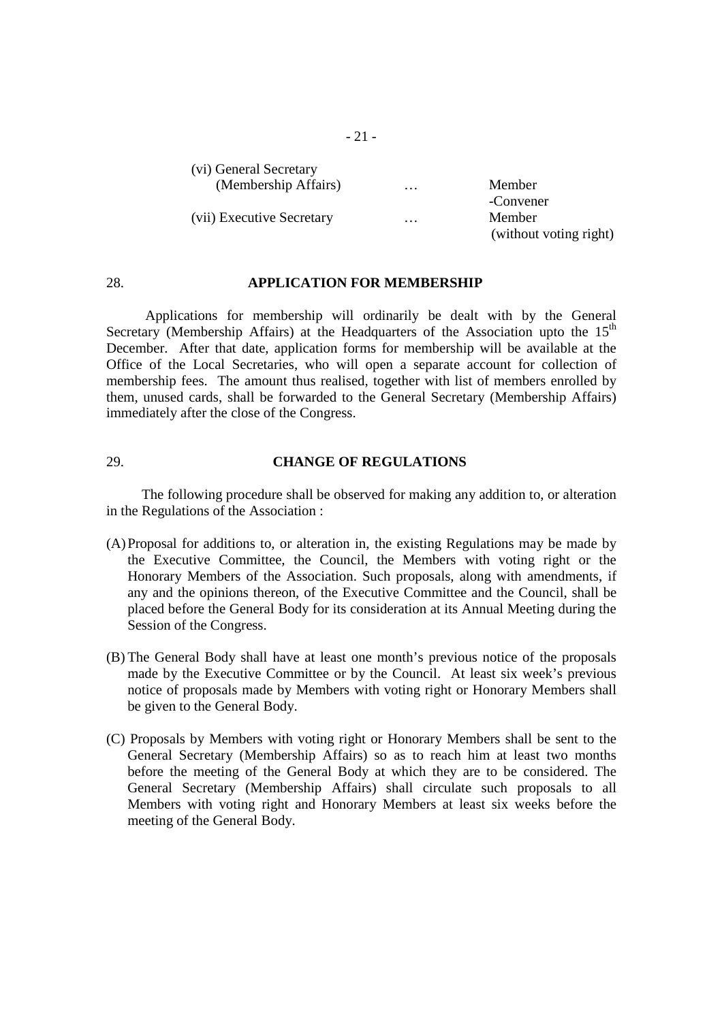| (vi) General Secretary    |          |                        |
|---------------------------|----------|------------------------|
| (Membership Affairs)      | $\cdots$ | Member                 |
|                           |          | -Convener              |
| (vii) Executive Secretary | $\cdots$ | Member                 |
|                           |          | (without voting right) |

#### 28. **APPLICATION FOR MEMBERSHIP**

 Applications for membership will ordinarily be dealt with by the General Secretary (Membership Affairs) at the Headquarters of the Association upto the  $15<sup>th</sup>$ December. After that date, application forms for membership will be available at the Office of the Local Secretaries, who will open a separate account for collection of membership fees. The amount thus realised, together with list of members enrolled by them, unused cards, shall be forwarded to the General Secretary (Membership Affairs) immediately after the close of the Congress.

### 29. **CHANGE OF REGULATIONS**

 The following procedure shall be observed for making any addition to, or alteration in the Regulations of the Association :

- (A)Proposal for additions to, or alteration in, the existing Regulations may be made by the Executive Committee, the Council, the Members with voting right or the Honorary Members of the Association. Such proposals, along with amendments, if any and the opinions thereon, of the Executive Committee and the Council, shall be placed before the General Body for its consideration at its Annual Meeting during the Session of the Congress.
- (B) The General Body shall have at least one month's previous notice of the proposals made by the Executive Committee or by the Council. At least six week's previous notice of proposals made by Members with voting right or Honorary Members shall be given to the General Body.
- (C) Proposals by Members with voting right or Honorary Members shall be sent to the General Secretary (Membership Affairs) so as to reach him at least two months before the meeting of the General Body at which they are to be considered. The General Secretary (Membership Affairs) shall circulate such proposals to all Members with voting right and Honorary Members at least six weeks before the meeting of the General Body.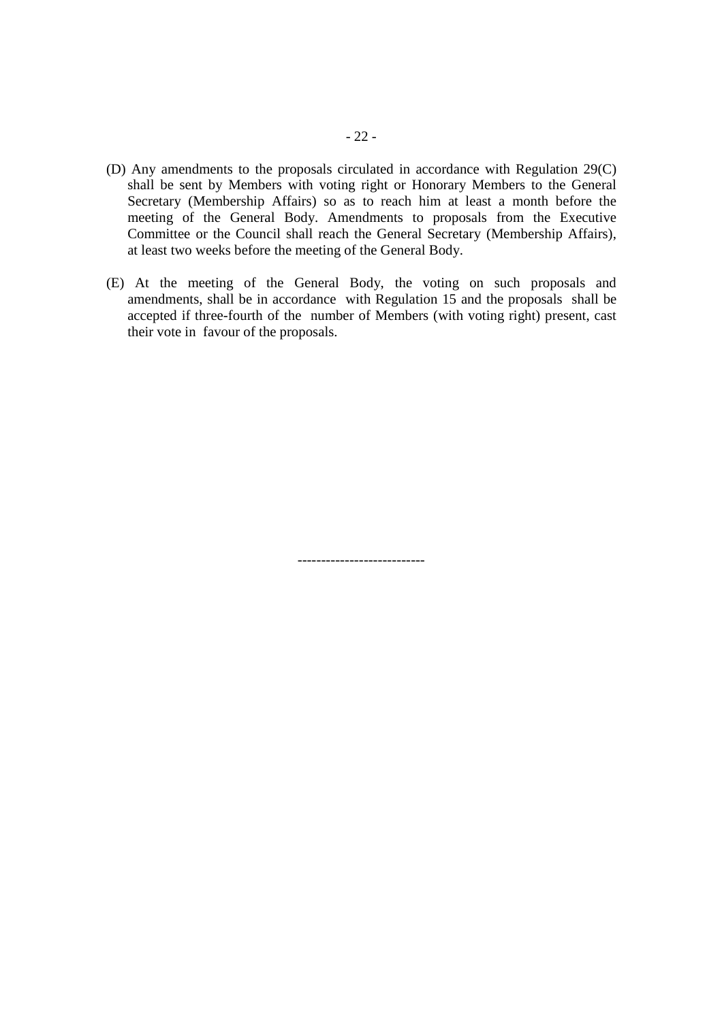- (D) Any amendments to the proposals circulated in accordance with Regulation 29(C) shall be sent by Members with voting right or Honorary Members to the General Secretary (Membership Affairs) so as to reach him at least a month before the meeting of the General Body. Amendments to proposals from the Executive Committee or the Council shall reach the General Secretary (Membership Affairs), at least two weeks before the meeting of the General Body.
- (E) At the meeting of the General Body, the voting on such proposals and amendments, shall be in accordance with Regulation 15 and the proposals shall be accepted if three-fourth of the number of Members (with voting right) present, cast their vote in favour of the proposals.

---------------------------

- 22 -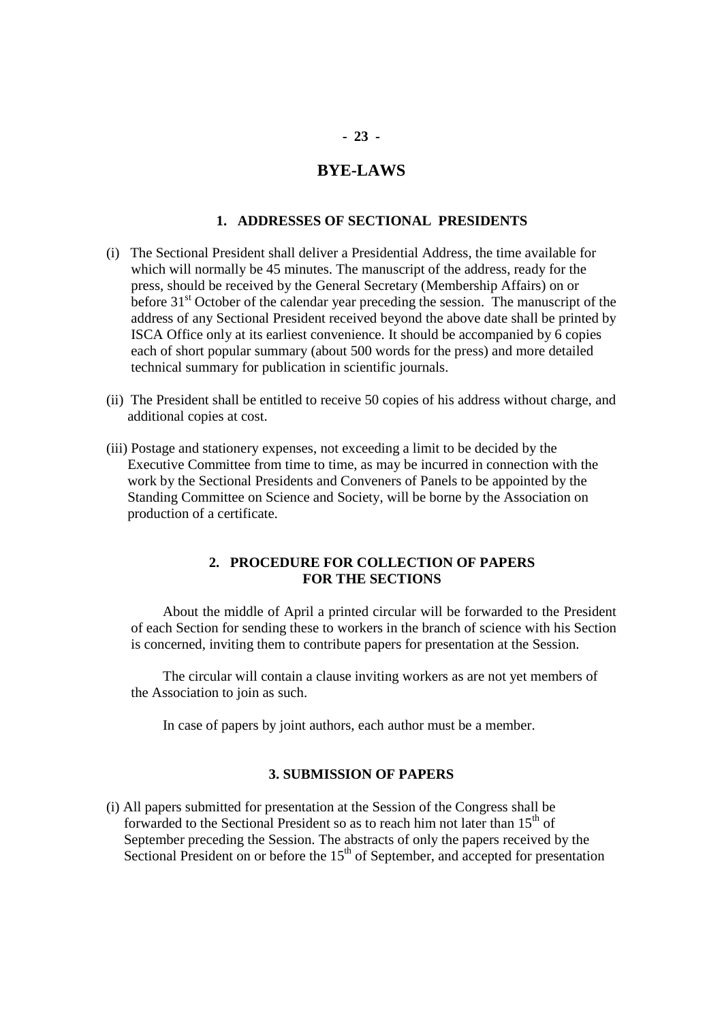## **BYE-LAWS**

### **1. ADDRESSES OF SECTIONAL PRESIDENTS**

- (i) The Sectional President shall deliver a Presidential Address, the time available for which will normally be 45 minutes. The manuscript of the address, ready for the press, should be received by the General Secretary (Membership Affairs) on or before  $31<sup>st</sup>$  October of the calendar year preceding the session. The manuscript of the address of any Sectional President received beyond the above date shall be printed by ISCA Office only at its earliest convenience. It should be accompanied by 6 copies each of short popular summary (about 500 words for the press) and more detailed technical summary for publication in scientific journals.
- (ii) The President shall be entitled to receive 50 copies of his address without charge, and additional copies at cost.
- (iii) Postage and stationery expenses, not exceeding a limit to be decided by the Executive Committee from time to time, as may be incurred in connection with the work by the Sectional Presidents and Conveners of Panels to be appointed by the Standing Committee on Science and Society, will be borne by the Association on production of a certificate.

### **2. PROCEDURE FOR COLLECTION OF PAPERS FOR THE SECTIONS**

 About the middle of April a printed circular will be forwarded to the President of each Section for sending these to workers in the branch of science with his Section is concerned, inviting them to contribute papers for presentation at the Session.

 The circular will contain a clause inviting workers as are not yet members of the Association to join as such.

In case of papers by joint authors, each author must be a member.

#### **3. SUBMISSION OF PAPERS**

(i) All papers submitted for presentation at the Session of the Congress shall be forwarded to the Sectional President so as to reach him not later than  $15<sup>th</sup>$  of September preceding the Session. The abstracts of only the papers received by the Sectional President on or before the  $15<sup>th</sup>$  of September, and accepted for presentation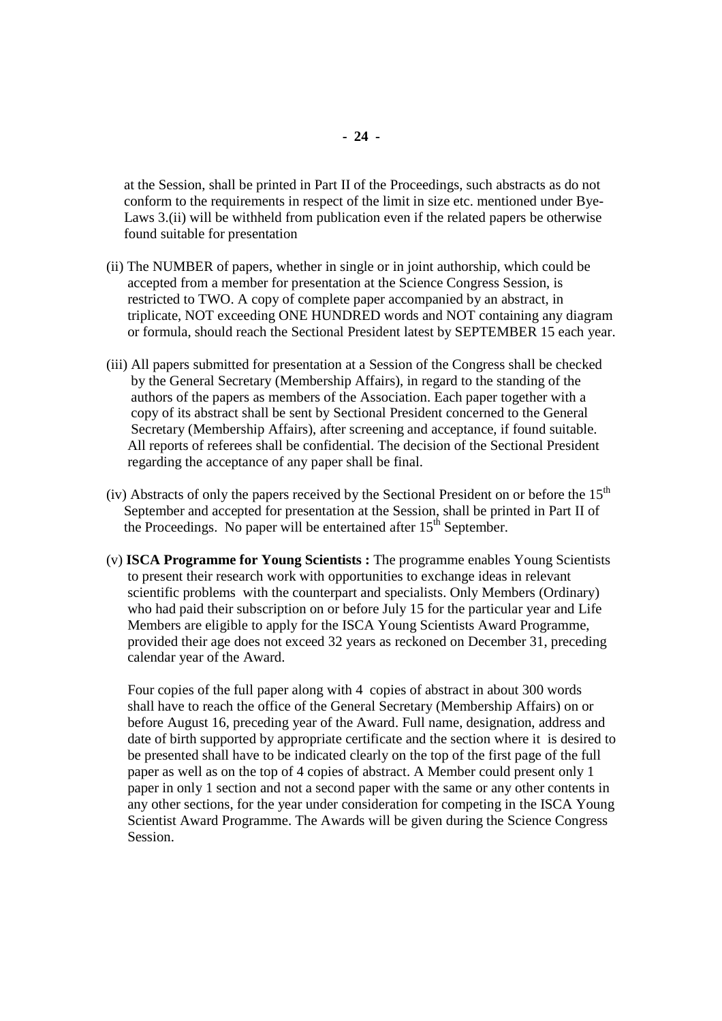at the Session, shall be printed in Part II of the Proceedings, such abstracts as do not conform to the requirements in respect of the limit in size etc. mentioned under Bye- Laws 3.(ii) will be withheld from publication even if the related papers be otherwise found suitable for presentation

- (ii) The NUMBER of papers, whether in single or in joint authorship, which could be accepted from a member for presentation at the Science Congress Session, is restricted to TWO. A copy of complete paper accompanied by an abstract, in triplicate, NOT exceeding ONE HUNDRED words and NOT containing any diagram or formula, should reach the Sectional President latest by SEPTEMBER 15 each year.
- (iii) All papers submitted for presentation at a Session of the Congress shall be checked by the General Secretary (Membership Affairs), in regard to the standing of the authors of the papers as members of the Association. Each paper together with a copy of its abstract shall be sent by Sectional President concerned to the General Secretary (Membership Affairs), after screening and acceptance, if found suitable. All reports of referees shall be confidential. The decision of the Sectional President regarding the acceptance of any paper shall be final.
- (iv) Abstracts of only the papers received by the Sectional President on or before the  $15<sup>th</sup>$  September and accepted for presentation at the Session, shall be printed in Part II of the Proceedings. No paper will be entertained after  $15<sup>th</sup>$  September.
- (v) **ISCA Programme for Young Scientists :** The programme enables Young Scientists to present their research work with opportunities to exchange ideas in relevant scientific problems with the counterpart and specialists. Only Members (Ordinary) who had paid their subscription on or before July 15 for the particular year and Life Members are eligible to apply for the ISCA Young Scientists Award Programme, provided their age does not exceed 32 years as reckoned on December 31, preceding calendar year of the Award.

 Four copies of the full paper along with 4 copies of abstract in about 300 words shall have to reach the office of the General Secretary (Membership Affairs) on or before August 16, preceding year of the Award. Full name, designation, address and date of birth supported by appropriate certificate and the section where it is desired to be presented shall have to be indicated clearly on the top of the first page of the full paper as well as on the top of 4 copies of abstract. A Member could present only 1 paper in only 1 section and not a second paper with the same or any other contents in any other sections, for the year under consideration for competing in the ISCA Young Scientist Award Programme. The Awards will be given during the Science Congress Session.